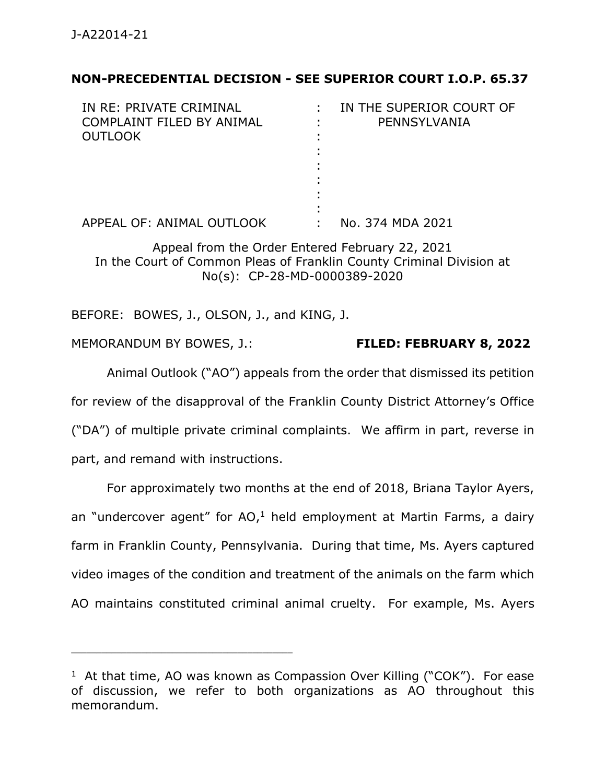# **NON-PRECEDENTIAL DECISION - SEE SUPERIOR COURT I.O.P. 65.37**

| IN RE: PRIVATE CRIMINAL   | IN THE SUPERIOR COURT OF |
|---------------------------|--------------------------|
| COMPLAINT FILED BY ANIMAL | PENNSYLVANIA             |
| <b>OUTLOOK</b>            |                          |
|                           |                          |
|                           |                          |
|                           |                          |
|                           |                          |
|                           |                          |
| APPEAL OF: ANIMAL OUTLOOK | No. 374 MDA 2021         |

Appeal from the Order Entered February 22, 2021 In the Court of Common Pleas of Franklin County Criminal Division at No(s): CP-28-MD-0000389-2020

BEFORE: BOWES, J., OLSON, J., and KING, J.

\_\_\_\_\_\_\_\_\_\_\_\_\_\_\_\_\_\_\_\_\_\_\_\_\_\_\_\_\_\_\_\_\_\_\_\_\_\_\_\_\_\_\_\_

MEMORANDUM BY BOWES, J.: **FILED: FEBRUARY 8, 2022**

Animal Outlook ("AO") appeals from the order that dismissed its petition for review of the disapproval of the Franklin County District Attorney's Office ("DA") of multiple private criminal complaints. We affirm in part, reverse in part, and remand with instructions.

For approximately two months at the end of 2018, Briana Taylor Ayers, an "undercover agent" for  $AO<sub>1</sub>$  held employment at Martin Farms, a dairy farm in Franklin County, Pennsylvania. During that time, Ms. Ayers captured video images of the condition and treatment of the animals on the farm which AO maintains constituted criminal animal cruelty. For example, Ms. Ayers

<sup>&</sup>lt;sup>1</sup> At that time, AO was known as Compassion Over Killing ("COK"). For ease of discussion, we refer to both organizations as AO throughout this memorandum.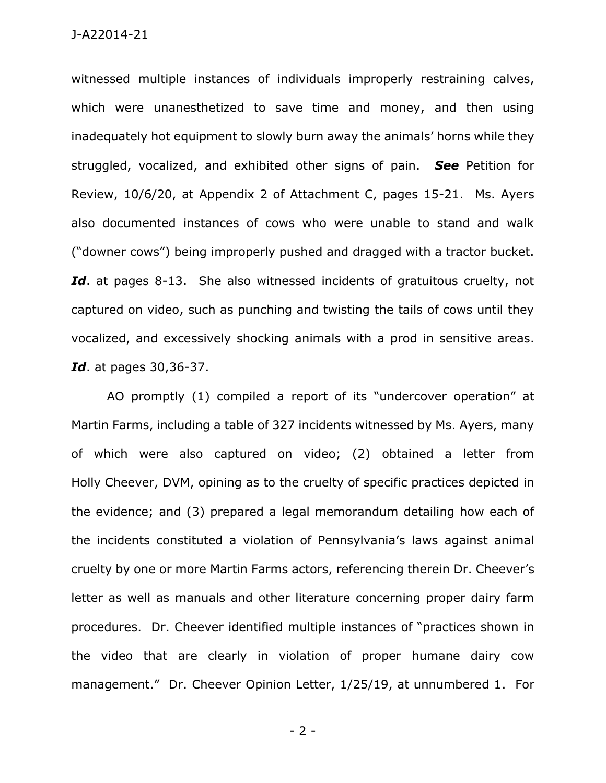witnessed multiple instances of individuals improperly restraining calves, which were unanesthetized to save time and money, and then using inadequately hot equipment to slowly burn away the animals' horns while they struggled, vocalized, and exhibited other signs of pain. *See* Petition for Review, 10/6/20, at Appendix 2 of Attachment C, pages 15-21. Ms. Ayers also documented instances of cows who were unable to stand and walk ("downer cows") being improperly pushed and dragged with a tractor bucket. Id. at pages 8-13. She also witnessed incidents of gratuitous cruelty, not captured on video, such as punching and twisting the tails of cows until they vocalized, and excessively shocking animals with a prod in sensitive areas. *Id*. at pages 30,36-37.

AO promptly (1) compiled a report of its "undercover operation" at Martin Farms, including a table of 327 incidents witnessed by Ms. Ayers, many of which were also captured on video; (2) obtained a letter from Holly Cheever, DVM, opining as to the cruelty of specific practices depicted in the evidence; and (3) prepared a legal memorandum detailing how each of the incidents constituted a violation of Pennsylvania's laws against animal cruelty by one or more Martin Farms actors, referencing therein Dr. Cheever's letter as well as manuals and other literature concerning proper dairy farm procedures. Dr. Cheever identified multiple instances of "practices shown in the video that are clearly in violation of proper humane dairy cow management." Dr. Cheever Opinion Letter, 1/25/19, at unnumbered 1. For

- 2 -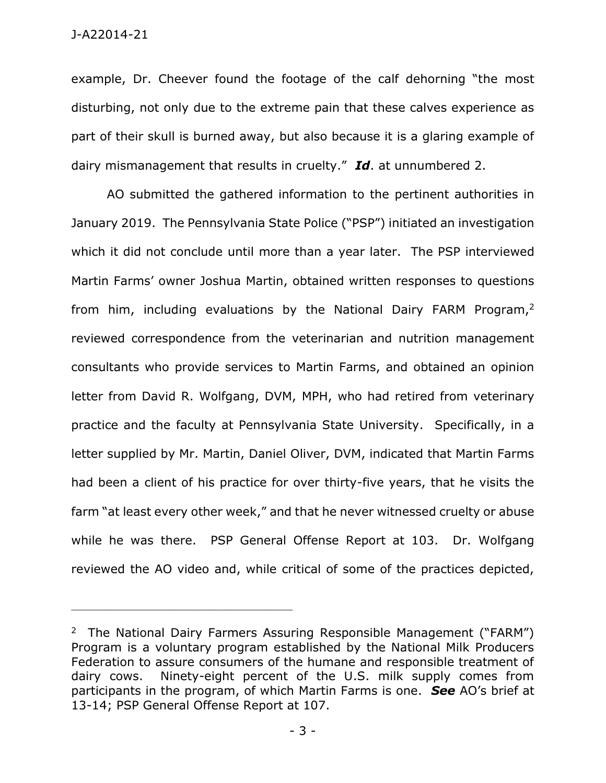example, Dr. Cheever found the footage of the calf dehorning "the most disturbing, not only due to the extreme pain that these calves experience as part of their skull is burned away, but also because it is a glaring example of dairy mismanagement that results in cruelty." *Id*. at unnumbered 2.

AO submitted the gathered information to the pertinent authorities in January 2019. The Pennsylvania State Police ("PSP") initiated an investigation which it did not conclude until more than a year later. The PSP interviewed Martin Farms' owner Joshua Martin, obtained written responses to questions from him, including evaluations by the National Dairy FARM Program,<sup>2</sup> reviewed correspondence from the veterinarian and nutrition management consultants who provide services to Martin Farms, and obtained an opinion letter from David R. Wolfgang, DVM, MPH, who had retired from veterinary practice and the faculty at Pennsylvania State University. Specifically, in a letter supplied by Mr. Martin, Daniel Oliver, DVM, indicated that Martin Farms had been a client of his practice for over thirty-five years, that he visits the farm "at least every other week," and that he never witnessed cruelty or abuse while he was there. PSP General Offense Report at 103. Dr. Wolfgang reviewed the AO video and, while critical of some of the practices depicted,

<sup>&</sup>lt;sup>2</sup> The National Dairy Farmers Assuring Responsible Management ("FARM") Program is a voluntary program established by the National Milk Producers Federation to assure consumers of the humane and responsible treatment of dairy cows. Ninety-eight percent of the U.S. milk supply comes from participants in the program, of which Martin Farms is one. *See* AO's brief at 13-14; PSP General Offense Report at 107.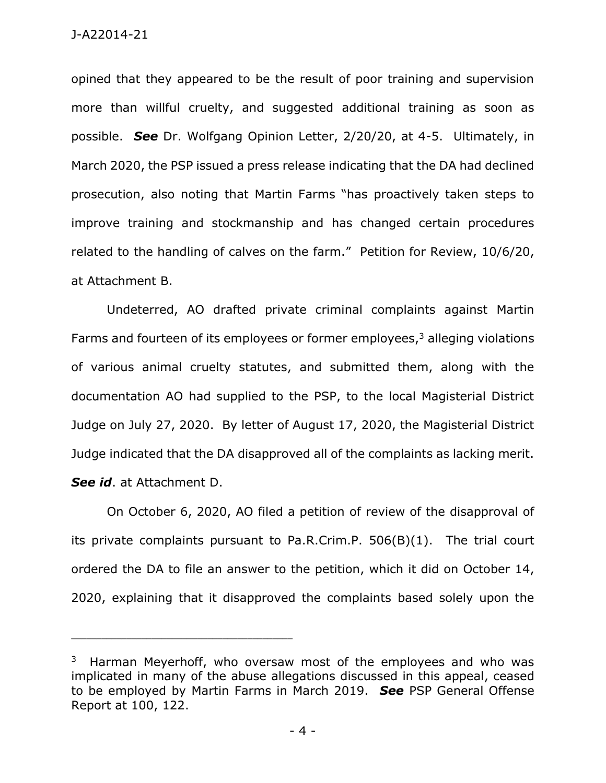opined that they appeared to be the result of poor training and supervision more than willful cruelty, and suggested additional training as soon as possible. *See* Dr. Wolfgang Opinion Letter, 2/20/20, at 4-5. Ultimately, in March 2020, the PSP issued a press release indicating that the DA had declined prosecution, also noting that Martin Farms "has proactively taken steps to improve training and stockmanship and has changed certain procedures related to the handling of calves on the farm." Petition for Review, 10/6/20, at Attachment B.

Undeterred, AO drafted private criminal complaints against Martin Farms and fourteen of its employees or former employees, <sup>3</sup> alleging violations of various animal cruelty statutes, and submitted them, along with the documentation AO had supplied to the PSP, to the local Magisterial District Judge on July 27, 2020. By letter of August 17, 2020, the Magisterial District Judge indicated that the DA disapproved all of the complaints as lacking merit. *See id*. at Attachment D.

On October 6, 2020, AO filed a petition of review of the disapproval of its private complaints pursuant to Pa.R.Crim.P. 506(B)(1). The trial court ordered the DA to file an answer to the petition, which it did on October 14, 2020, explaining that it disapproved the complaints based solely upon the

 $3$  Harman Meyerhoff, who oversaw most of the employees and who was implicated in many of the abuse allegations discussed in this appeal, ceased to be employed by Martin Farms in March 2019. *See* PSP General Offense Report at 100, 122.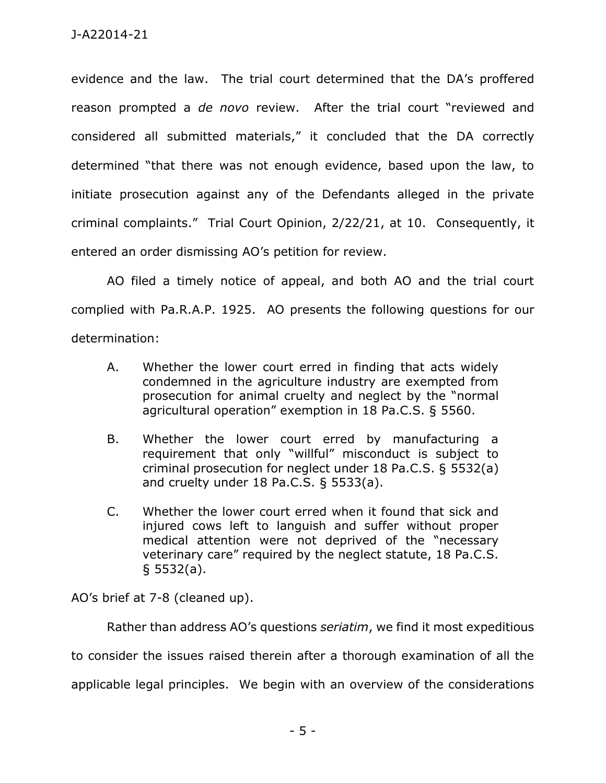evidence and the law. The trial court determined that the DA's proffered reason prompted a *de novo* review. After the trial court "reviewed and considered all submitted materials," it concluded that the DA correctly determined "that there was not enough evidence, based upon the law, to initiate prosecution against any of the Defendants alleged in the private criminal complaints." Trial Court Opinion, 2/22/21, at 10. Consequently, it entered an order dismissing AO's petition for review.

AO filed a timely notice of appeal, and both AO and the trial court complied with Pa.R.A.P. 1925. AO presents the following questions for our determination:

- A. Whether the lower court erred in finding that acts widely condemned in the agriculture industry are exempted from prosecution for animal cruelty and neglect by the "normal agricultural operation" exemption in 18 Pa.C.S. § 5560.
- B. Whether the lower court erred by manufacturing a requirement that only "willful" misconduct is subject to criminal prosecution for neglect under 18 Pa.C.S. § 5532(a) and cruelty under 18 Pa.C.S. § 5533(a).
- C. Whether the lower court erred when it found that sick and injured cows left to languish and suffer without proper medical attention were not deprived of the "necessary veterinary care" required by the neglect statute, 18 Pa.C.S. § 5532(a).

AO's brief at 7-8 (cleaned up).

Rather than address AO's questions *seriatim*, we find it most expeditious

to consider the issues raised therein after a thorough examination of all the

applicable legal principles. We begin with an overview of the considerations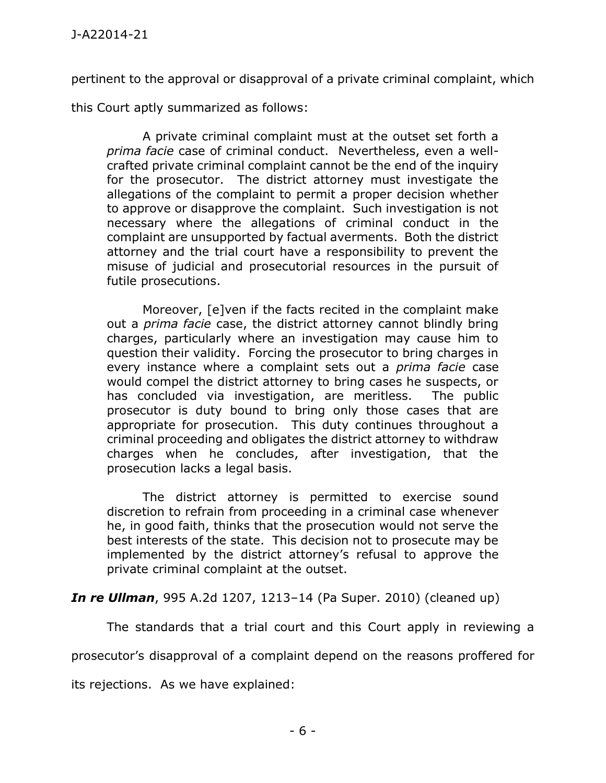pertinent to the approval or disapproval of a private criminal complaint, which

this Court aptly summarized as follows:

A private criminal complaint must at the outset set forth a *prima facie* case of criminal conduct. Nevertheless, even a wellcrafted private criminal complaint cannot be the end of the inquiry for the prosecutor. The district attorney must investigate the allegations of the complaint to permit a proper decision whether to approve or disapprove the complaint. Such investigation is not necessary where the allegations of criminal conduct in the complaint are unsupported by factual averments. Both the district attorney and the trial court have a responsibility to prevent the misuse of judicial and prosecutorial resources in the pursuit of futile prosecutions.

Moreover, [e]ven if the facts recited in the complaint make out a *prima facie* case, the district attorney cannot blindly bring charges, particularly where an investigation may cause him to question their validity. Forcing the prosecutor to bring charges in every instance where a complaint sets out a *prima facie* case would compel the district attorney to bring cases he suspects, or has concluded via investigation, are meritless. The public prosecutor is duty bound to bring only those cases that are appropriate for prosecution. This duty continues throughout a criminal proceeding and obligates the district attorney to withdraw charges when he concludes, after investigation, that the prosecution lacks a legal basis.

The district attorney is permitted to exercise sound discretion to refrain from proceeding in a criminal case whenever he, in good faith, thinks that the prosecution would not serve the best interests of the state. This decision not to prosecute may be implemented by the district attorney's refusal to approve the private criminal complaint at the outset.

*In re Ullman*, 995 A.2d 1207, 1213–14 (Pa Super. 2010) (cleaned up)

The standards that a trial court and this Court apply in reviewing a

prosecutor's disapproval of a complaint depend on the reasons proffered for

its rejections. As we have explained: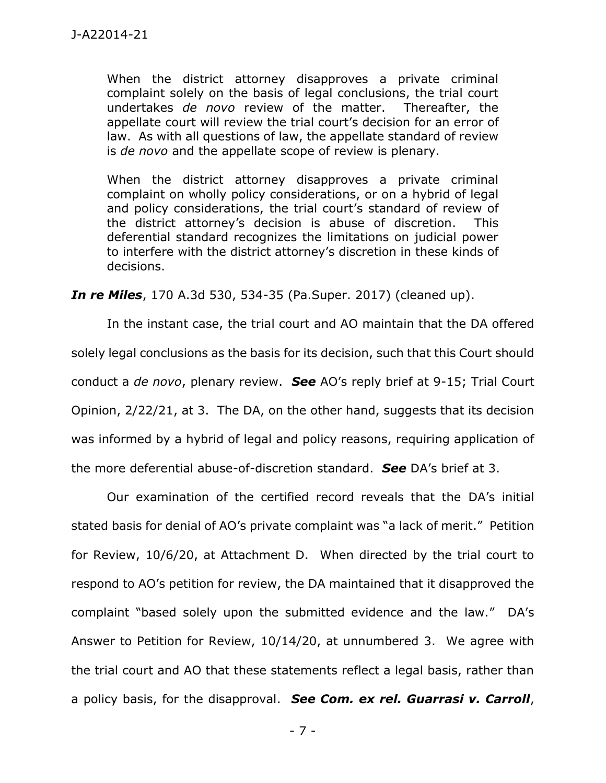When the district attorney disapproves a private criminal complaint solely on the basis of legal conclusions, the trial court undertakes *de novo* review of the matter. Thereafter, the appellate court will review the trial court's decision for an error of law. As with all questions of law, the appellate standard of review is *de novo* and the appellate scope of review is plenary.

When the district attorney disapproves a private criminal complaint on wholly policy considerations, or on a hybrid of legal and policy considerations, the trial court's standard of review of the district attorney's decision is abuse of discretion. This deferential standard recognizes the limitations on judicial power to interfere with the district attorney's discretion in these kinds of decisions.

*In re Miles*, 170 A.3d 530, 534-35 (Pa.Super. 2017) (cleaned up).

In the instant case, the trial court and AO maintain that the DA offered solely legal conclusions as the basis for its decision, such that this Court should conduct a *de novo*, plenary review. *See* AO's reply brief at 9-15; Trial Court Opinion, 2/22/21, at 3. The DA, on the other hand, suggests that its decision was informed by a hybrid of legal and policy reasons, requiring application of the more deferential abuse-of-discretion standard. *See* DA's brief at 3.

Our examination of the certified record reveals that the DA's initial stated basis for denial of AO's private complaint was "a lack of merit." Petition for Review, 10/6/20, at Attachment D. When directed by the trial court to respond to AO's petition for review, the DA maintained that it disapproved the complaint "based solely upon the submitted evidence and the law." DA's Answer to Petition for Review, 10/14/20, at unnumbered 3. We agree with the trial court and AO that these statements reflect a legal basis, rather than a policy basis, for the disapproval. *See Com. ex rel. Guarrasi v. Carroll*,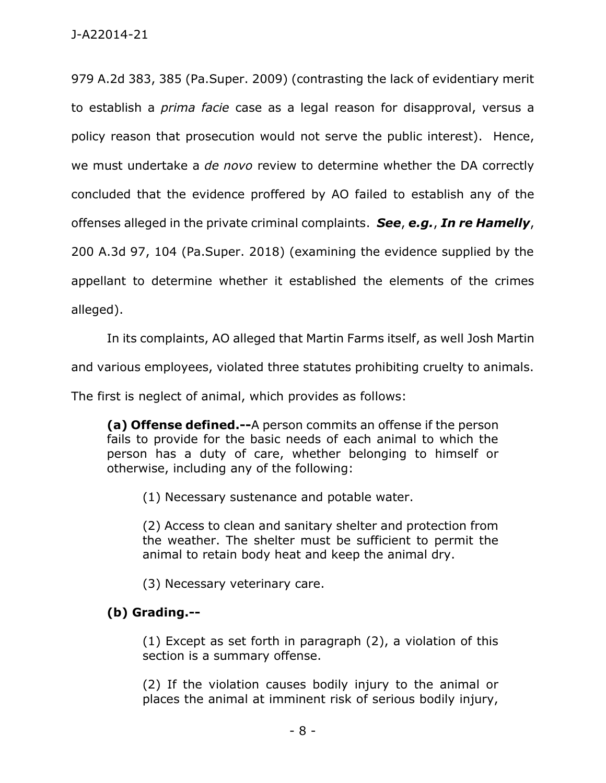979 A.2d 383, 385 (Pa.Super. 2009) (contrasting the lack of evidentiary merit to establish a *prima facie* case as a legal reason for disapproval, versus a policy reason that prosecution would not serve the public interest). Hence, we must undertake a *de novo* review to determine whether the DA correctly concluded that the evidence proffered by AO failed to establish any of the offenses alleged in the private criminal complaints. *See*, *e.g.*, *In re Hamelly*, 200 A.3d 97, 104 (Pa.Super. 2018) (examining the evidence supplied by the appellant to determine whether it established the elements of the crimes alleged).

In its complaints, AO alleged that Martin Farms itself, as well Josh Martin

and various employees, violated three statutes prohibiting cruelty to animals.

The first is neglect of animal, which provides as follows:

**(a) Offense defined.--**A person commits an offense if the person fails to provide for the basic needs of each animal to which the person has a duty of care, whether belonging to himself or otherwise, including any of the following:

(1) Necessary sustenance and potable water.

(2) Access to clean and sanitary shelter and protection from the weather. The shelter must be sufficient to permit the animal to retain body heat and keep the animal dry.

(3) Necessary veterinary care.

# **(b) Grading.--**

(1) Except as set forth in paragraph (2), a violation of this section is a summary offense.

(2) If the violation causes bodily injury to the animal or places the animal at imminent risk of serious bodily injury,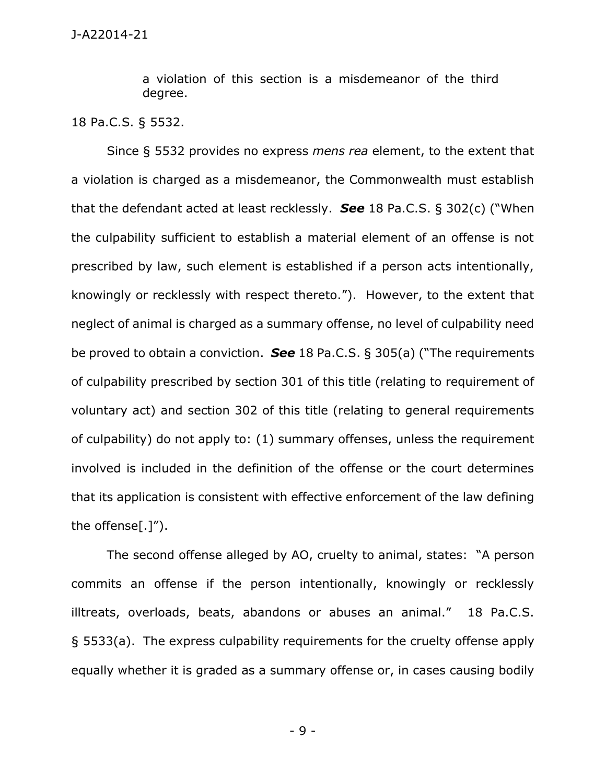a violation of this section is a misdemeanor of the third degree.

18 Pa.C.S. § 5532.

Since § 5532 provides no express *mens rea* element, to the extent that a violation is charged as a misdemeanor, the Commonwealth must establish that the defendant acted at least recklessly. *See* 18 Pa.C.S. § 302(c) ("When the culpability sufficient to establish a material element of an offense is not prescribed by law, such element is established if a person acts intentionally, knowingly or recklessly with respect thereto."). However, to the extent that neglect of animal is charged as a summary offense, no level of culpability need be proved to obtain a conviction. *See* 18 Pa.C.S. § 305(a) ("The requirements of culpability prescribed by section 301 of this title (relating to requirement of voluntary act) and section 302 of this title (relating to general requirements of culpability) do not apply to: (1) summary offenses, unless the requirement involved is included in the definition of the offense or the court determines that its application is consistent with effective enforcement of the law defining the offense[.]").

The second offense alleged by AO, cruelty to animal, states: "A person commits an offense if the person intentionally, knowingly or recklessly illtreats, overloads, beats, abandons or abuses an animal." 18 Pa.C.S. § 5533(a). The express culpability requirements for the cruelty offense apply equally whether it is graded as a summary offense or, in cases causing bodily

- 9 -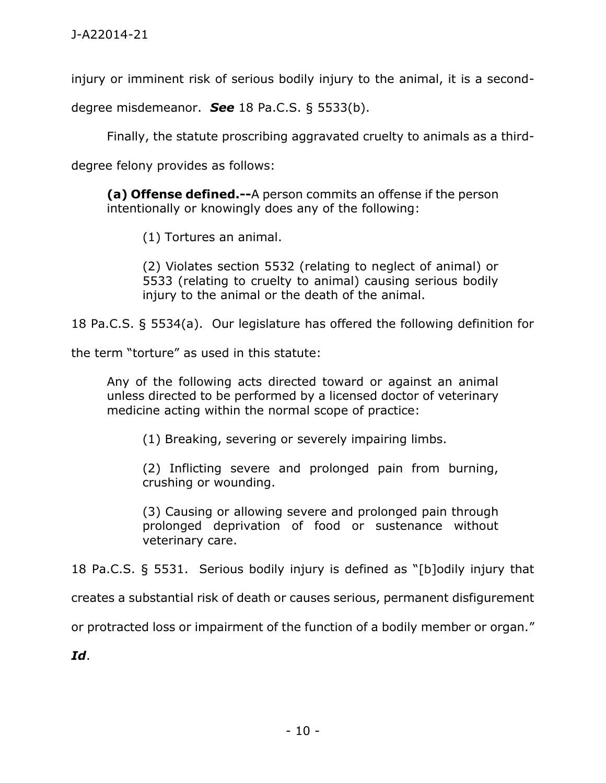injury or imminent risk of serious bodily injury to the animal, it is a second-

degree misdemeanor. *See* 18 Pa.C.S. § 5533(b).

Finally, the statute proscribing aggravated cruelty to animals as a third-

degree felony provides as follows:

**(a) Offense defined.--**A person commits an offense if the person intentionally or knowingly does any of the following:

(1) Tortures an animal.

(2) Violates section 5532 (relating to neglect of animal) or 5533 (relating to cruelty to animal) causing serious bodily injury to the animal or the death of the animal.

18 Pa.C.S. § 5534(a). Our legislature has offered the following definition for

the term "torture" as used in this statute:

Any of the following acts directed toward or against an animal unless directed to be performed by a licensed doctor of veterinary medicine acting within the normal scope of practice:

(1) Breaking, severing or severely impairing limbs.

(2) Inflicting severe and prolonged pain from burning, crushing or wounding.

(3) Causing or allowing severe and prolonged pain through prolonged deprivation of food or sustenance without veterinary care.

18 Pa.C.S. § 5531. Serious bodily injury is defined as "[b]odily injury that

creates a substantial risk of death or causes serious, permanent disfigurement

or protracted loss or impairment of the function of a bodily member or organ."

*Id*.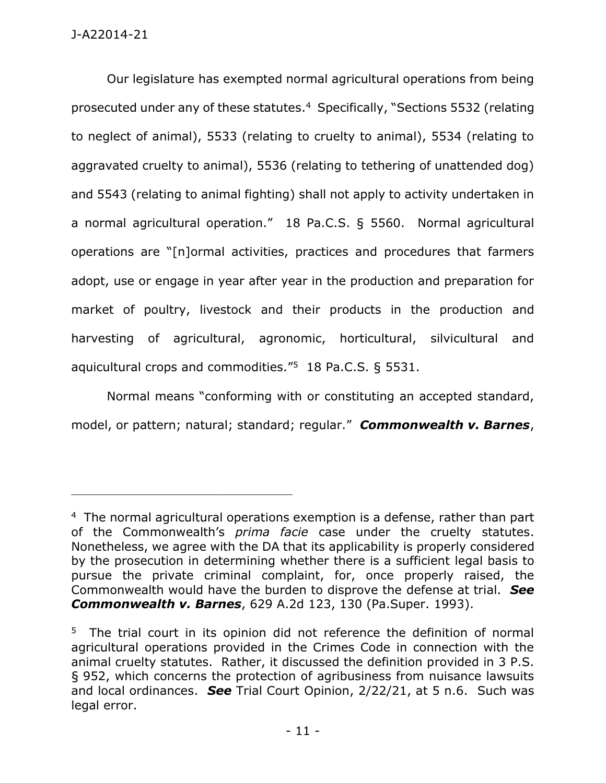Our legislature has exempted normal agricultural operations from being prosecuted under any of these statutes. 4 Specifically, "Sections 5532 (relating to neglect of animal), 5533 (relating to cruelty to animal), 5534 (relating to aggravated cruelty to animal), 5536 (relating to tethering of unattended dog) and 5543 (relating to animal fighting) shall not apply to activity undertaken in a normal agricultural operation." 18 Pa.C.S. § 5560. Normal agricultural operations are "[n]ormal activities, practices and procedures that farmers adopt, use or engage in year after year in the production and preparation for market of poultry, livestock and their products in the production and harvesting of agricultural, agronomic, horticultural, silvicultural and aquicultural crops and commodities."<sup>5</sup> 18 Pa.C.S. § 5531.

Normal means "conforming with or constituting an accepted standard, model, or pattern; natural; standard; regular." *Commonwealth v. Barnes*,

 $4$  The normal agricultural operations exemption is a defense, rather than part of the Commonwealth's *prima facie* case under the cruelty statutes. Nonetheless, we agree with the DA that its applicability is properly considered by the prosecution in determining whether there is a sufficient legal basis to pursue the private criminal complaint, for, once properly raised, the Commonwealth would have the burden to disprove the defense at trial. *See Commonwealth v. Barnes*, 629 A.2d 123, 130 (Pa.Super. 1993).

<sup>&</sup>lt;sup>5</sup> The trial court in its opinion did not reference the definition of normal agricultural operations provided in the Crimes Code in connection with the animal cruelty statutes. Rather, it discussed the definition provided in 3 P.S. § 952, which concerns the protection of agribusiness from nuisance lawsuits and local ordinances. *See* Trial Court Opinion, 2/22/21, at 5 n.6. Such was legal error.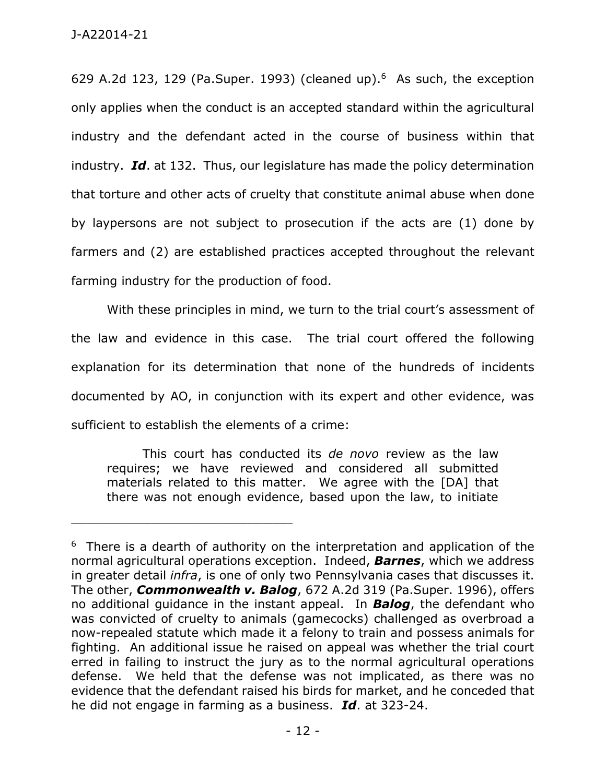629 A.2d 123, 129 (Pa.Super. 1993) (cleaned up). $6$  As such, the exception only applies when the conduct is an accepted standard within the agricultural industry and the defendant acted in the course of business within that industry. *Id*. at 132. Thus, our legislature has made the policy determination that torture and other acts of cruelty that constitute animal abuse when done by laypersons are not subject to prosecution if the acts are (1) done by farmers and (2) are established practices accepted throughout the relevant farming industry for the production of food.

With these principles in mind, we turn to the trial court's assessment of the law and evidence in this case. The trial court offered the following explanation for its determination that none of the hundreds of incidents documented by AO, in conjunction with its expert and other evidence, was sufficient to establish the elements of a crime:

This court has conducted its *de novo* review as the law requires; we have reviewed and considered all submitted materials related to this matter. We agree with the [DA] that there was not enough evidence, based upon the law, to initiate

 $6$  There is a dearth of authority on the interpretation and application of the normal agricultural operations exception. Indeed, *Barnes*, which we address in greater detail *infra*, is one of only two Pennsylvania cases that discusses it. The other, *Commonwealth v. Balog*, 672 A.2d 319 (Pa.Super. 1996), offers no additional guidance in the instant appeal. In *Balog*, the defendant who was convicted of cruelty to animals (gamecocks) challenged as overbroad a now-repealed statute which made it a felony to train and possess animals for fighting. An additional issue he raised on appeal was whether the trial court erred in failing to instruct the jury as to the normal agricultural operations defense. We held that the defense was not implicated, as there was no evidence that the defendant raised his birds for market, and he conceded that he did not engage in farming as a business. *Id*. at 323-24.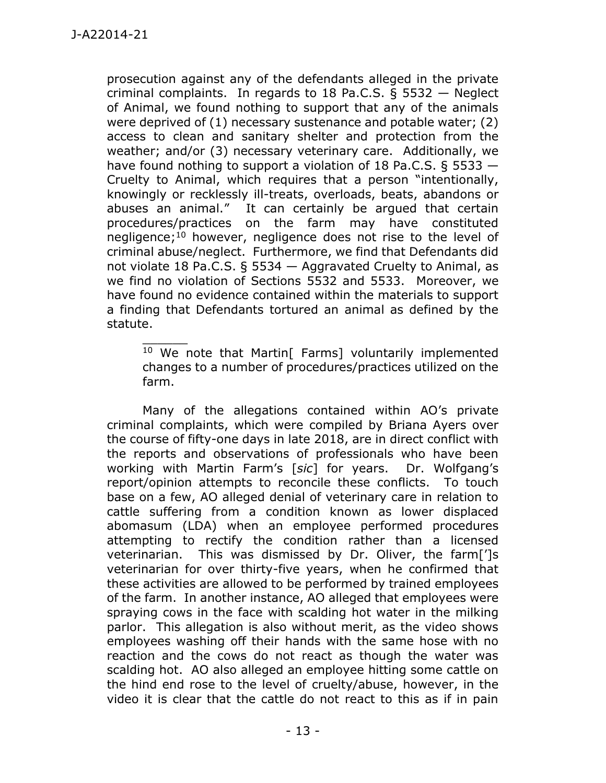$\overline{\phantom{a}}$ 

prosecution against any of the defendants alleged in the private criminal complaints. In regards to 18 Pa.C.S. § 5532 — Neglect of Animal, we found nothing to support that any of the animals were deprived of (1) necessary sustenance and potable water; (2) access to clean and sanitary shelter and protection from the weather; and/or (3) necessary veterinary care. Additionally, we have found nothing to support a violation of 18 Pa.C.S. § 5533 — Cruelty to Animal, which requires that a person "intentionally, knowingly or recklessly ill-treats, overloads, beats, abandons or abuses an animal." It can certainly be argued that certain procedures/practices on the farm may have constituted negligence;<sup>10</sup> however, negligence does not rise to the level of criminal abuse/neglect. Furthermore, we find that Defendants did not violate 18 Pa.C.S. § 5534 — Aggravated Cruelty to Animal, as we find no violation of Sections 5532 and 5533. Moreover, we have found no evidence contained within the materials to support a finding that Defendants tortured an animal as defined by the statute.

<sup>10</sup> We note that Martin<sup>[</sup> Farms] voluntarily implemented changes to a number of procedures/practices utilized on the farm.

Many of the allegations contained within AO's private criminal complaints, which were compiled by Briana Ayers over the course of fifty-one days in late 2018, are in direct conflict with the reports and observations of professionals who have been working with Martin Farm's [*sic*] for years. Dr. Wolfgang's report/opinion attempts to reconcile these conflicts. To touch base on a few, AO alleged denial of veterinary care in relation to cattle suffering from a condition known as lower displaced abomasum (LDA) when an employee performed procedures attempting to rectify the condition rather than a licensed veterinarian. This was dismissed by Dr. Oliver, the farm[']s veterinarian for over thirty-five years, when he confirmed that these activities are allowed to be performed by trained employees of the farm. In another instance, AO alleged that employees were spraying cows in the face with scalding hot water in the milking parlor. This allegation is also without merit, as the video shows employees washing off their hands with the same hose with no reaction and the cows do not react as though the water was scalding hot. AO also alleged an employee hitting some cattle on the hind end rose to the level of cruelty/abuse, however, in the video it is clear that the cattle do not react to this as if in pain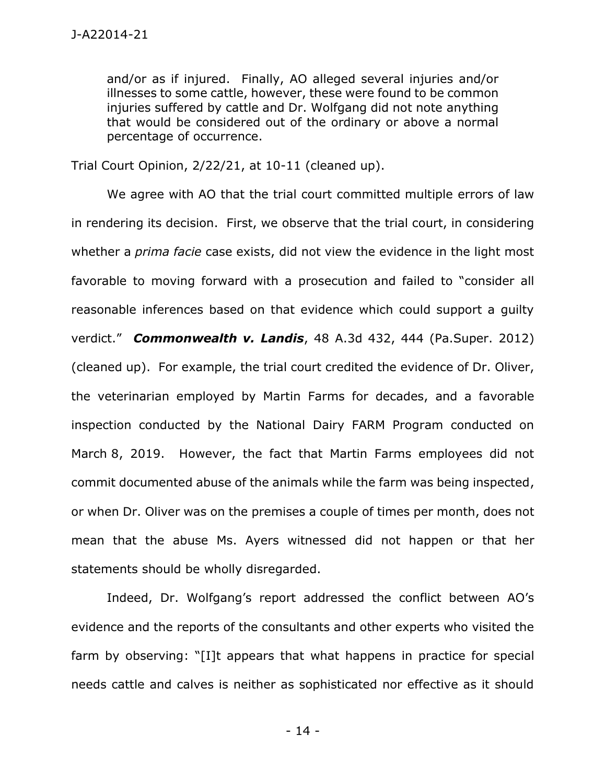and/or as if injured. Finally, AO alleged several injuries and/or illnesses to some cattle, however, these were found to be common injuries suffered by cattle and Dr. Wolfgang did not note anything that would be considered out of the ordinary or above a normal percentage of occurrence.

Trial Court Opinion, 2/22/21, at 10-11 (cleaned up).

We agree with AO that the trial court committed multiple errors of law in rendering its decision. First, we observe that the trial court, in considering whether a *prima facie* case exists, did not view the evidence in the light most favorable to moving forward with a prosecution and failed to "consider all reasonable inferences based on that evidence which could support a guilty verdict." *Commonwealth v. Landis*, 48 A.3d 432, 444 (Pa.Super. 2012) (cleaned up). For example, the trial court credited the evidence of Dr. Oliver, the veterinarian employed by Martin Farms for decades, and a favorable inspection conducted by the National Dairy FARM Program conducted on March 8, 2019. However, the fact that Martin Farms employees did not commit documented abuse of the animals while the farm was being inspected, or when Dr. Oliver was on the premises a couple of times per month, does not mean that the abuse Ms. Ayers witnessed did not happen or that her statements should be wholly disregarded.

Indeed, Dr. Wolfgang's report addressed the conflict between AO's evidence and the reports of the consultants and other experts who visited the farm by observing: "[I]t appears that what happens in practice for special needs cattle and calves is neither as sophisticated nor effective as it should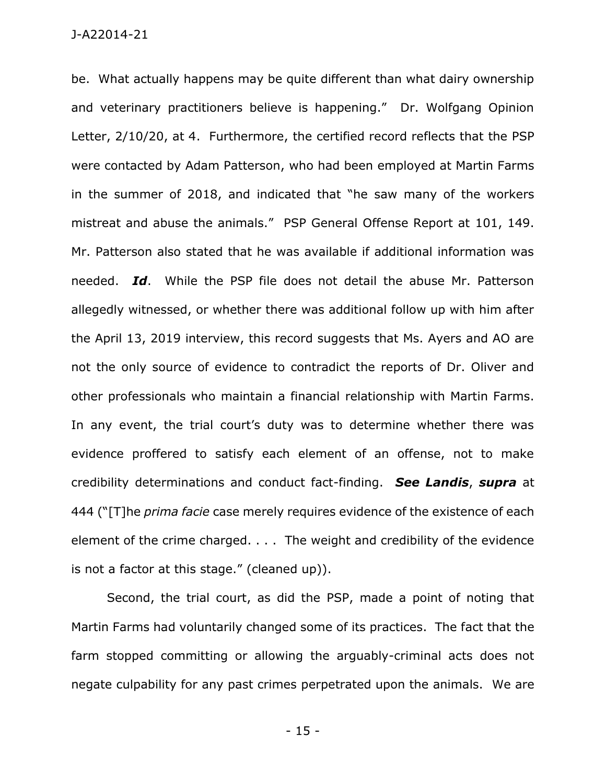be. What actually happens may be quite different than what dairy ownership and veterinary practitioners believe is happening." Dr. Wolfgang Opinion Letter, 2/10/20, at 4. Furthermore, the certified record reflects that the PSP were contacted by Adam Patterson, who had been employed at Martin Farms in the summer of 2018, and indicated that "he saw many of the workers mistreat and abuse the animals." PSP General Offense Report at 101, 149. Mr. Patterson also stated that he was available if additional information was needed. *Id*. While the PSP file does not detail the abuse Mr. Patterson allegedly witnessed, or whether there was additional follow up with him after the April 13, 2019 interview, this record suggests that Ms. Ayers and AO are not the only source of evidence to contradict the reports of Dr. Oliver and other professionals who maintain a financial relationship with Martin Farms. In any event, the trial court's duty was to determine whether there was evidence proffered to satisfy each element of an offense, not to make credibility determinations and conduct fact-finding. *See Landis*, *supra* at 444 ("[T]he *prima facie* case merely requires evidence of the existence of each element of the crime charged. . . . The weight and credibility of the evidence is not a factor at this stage." (cleaned up)).

Second, the trial court, as did the PSP, made a point of noting that Martin Farms had voluntarily changed some of its practices. The fact that the farm stopped committing or allowing the arguably-criminal acts does not negate culpability for any past crimes perpetrated upon the animals. We are

- 15 -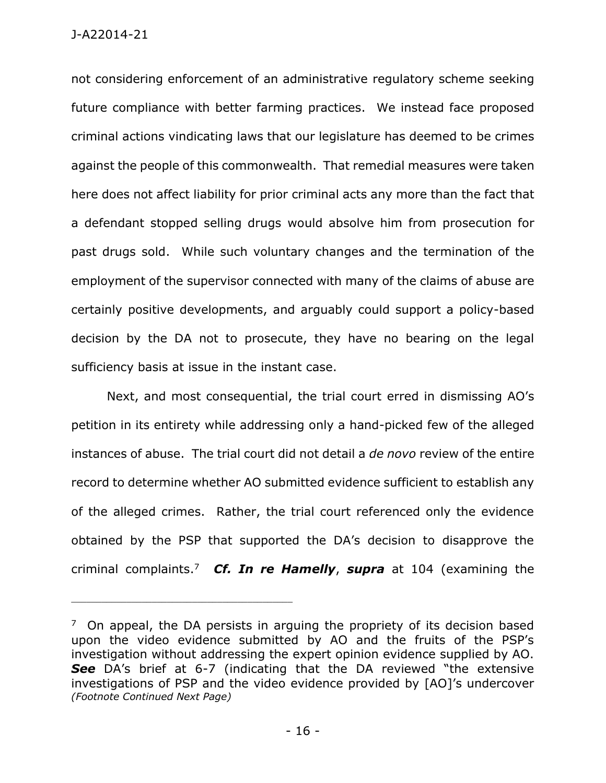not considering enforcement of an administrative regulatory scheme seeking future compliance with better farming practices. We instead face proposed criminal actions vindicating laws that our legislature has deemed to be crimes against the people of this commonwealth. That remedial measures were taken here does not affect liability for prior criminal acts any more than the fact that a defendant stopped selling drugs would absolve him from prosecution for past drugs sold. While such voluntary changes and the termination of the employment of the supervisor connected with many of the claims of abuse are certainly positive developments, and arguably could support a policy-based decision by the DA not to prosecute, they have no bearing on the legal sufficiency basis at issue in the instant case.

Next, and most consequential, the trial court erred in dismissing AO's petition in its entirety while addressing only a hand-picked few of the alleged instances of abuse. The trial court did not detail a *de novo* review of the entire record to determine whether AO submitted evidence sufficient to establish any of the alleged crimes. Rather, the trial court referenced only the evidence obtained by the PSP that supported the DA's decision to disapprove the criminal complaints.<sup>7</sup> *Cf. In re Hamelly*, *supra* at 104 (examining the

 $7$  On appeal, the DA persists in arguing the propriety of its decision based upon the video evidence submitted by AO and the fruits of the PSP's investigation without addressing the expert opinion evidence supplied by AO. **See** DA's brief at 6-7 (indicating that the DA reviewed "the extensive investigations of PSP and the video evidence provided by [AO]'s undercover *(Footnote Continued Next Page)*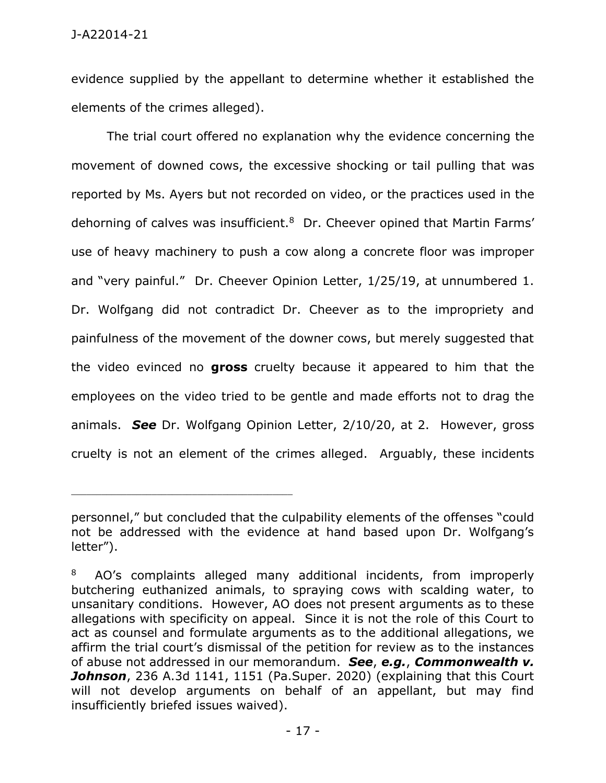evidence supplied by the appellant to determine whether it established the elements of the crimes alleged).

The trial court offered no explanation why the evidence concerning the movement of downed cows, the excessive shocking or tail pulling that was reported by Ms. Ayers but not recorded on video, or the practices used in the dehorning of calves was insufficient.<sup>8</sup> Dr. Cheever opined that Martin Farms' use of heavy machinery to push a cow along a concrete floor was improper and "very painful." Dr. Cheever Opinion Letter, 1/25/19, at unnumbered 1. Dr. Wolfgang did not contradict Dr. Cheever as to the impropriety and painfulness of the movement of the downer cows, but merely suggested that the video evinced no **gross** cruelty because it appeared to him that the employees on the video tried to be gentle and made efforts not to drag the animals. *See* Dr. Wolfgang Opinion Letter, 2/10/20, at 2. However, gross cruelty is not an element of the crimes alleged. Arguably, these incidents

personnel," but concluded that the culpability elements of the offenses "could not be addressed with the evidence at hand based upon Dr. Wolfgang's letter").

<sup>8</sup> AO's complaints alleged many additional incidents, from improperly butchering euthanized animals, to spraying cows with scalding water, to unsanitary conditions. However, AO does not present arguments as to these allegations with specificity on appeal. Since it is not the role of this Court to act as counsel and formulate arguments as to the additional allegations, we affirm the trial court's dismissal of the petition for review as to the instances of abuse not addressed in our memorandum. *See*, *e.g.*, *Commonwealth v. Johnson*, 236 A.3d 1141, 1151 (Pa.Super. 2020) (explaining that this Court will not develop arguments on behalf of an appellant, but may find insufficiently briefed issues waived).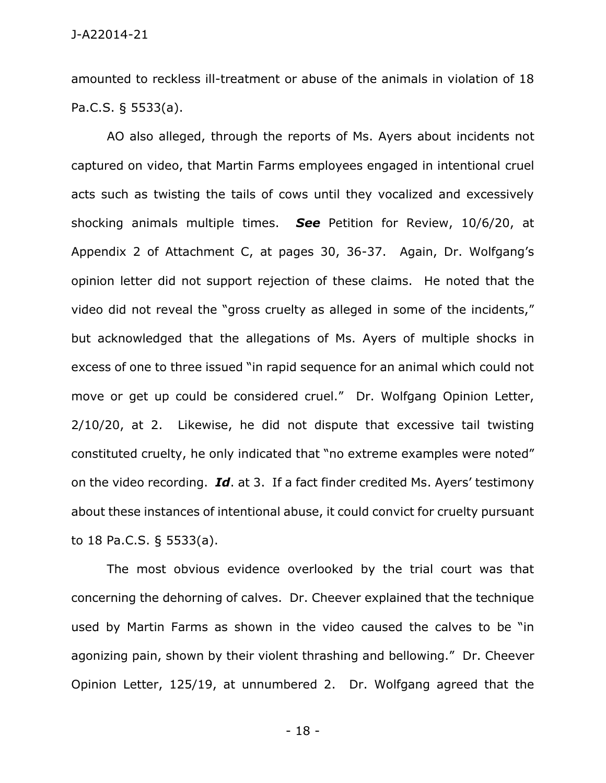amounted to reckless ill-treatment or abuse of the animals in violation of 18 Pa.C.S. § 5533(a).

AO also alleged, through the reports of Ms. Ayers about incidents not captured on video, that Martin Farms employees engaged in intentional cruel acts such as twisting the tails of cows until they vocalized and excessively shocking animals multiple times. *See* Petition for Review, 10/6/20, at Appendix 2 of Attachment C, at pages 30, 36-37. Again, Dr. Wolfgang's opinion letter did not support rejection of these claims. He noted that the video did not reveal the "gross cruelty as alleged in some of the incidents," but acknowledged that the allegations of Ms. Ayers of multiple shocks in excess of one to three issued "in rapid sequence for an animal which could not move or get up could be considered cruel." Dr. Wolfgang Opinion Letter, 2/10/20, at 2. Likewise, he did not dispute that excessive tail twisting constituted cruelty, he only indicated that "no extreme examples were noted" on the video recording. *Id*. at 3. If a fact finder credited Ms. Ayers' testimony about these instances of intentional abuse, it could convict for cruelty pursuant to 18 Pa.C.S. § 5533(a).

The most obvious evidence overlooked by the trial court was that concerning the dehorning of calves. Dr. Cheever explained that the technique used by Martin Farms as shown in the video caused the calves to be "in agonizing pain, shown by their violent thrashing and bellowing." Dr. Cheever Opinion Letter, 125/19, at unnumbered 2. Dr. Wolfgang agreed that the

- 18 -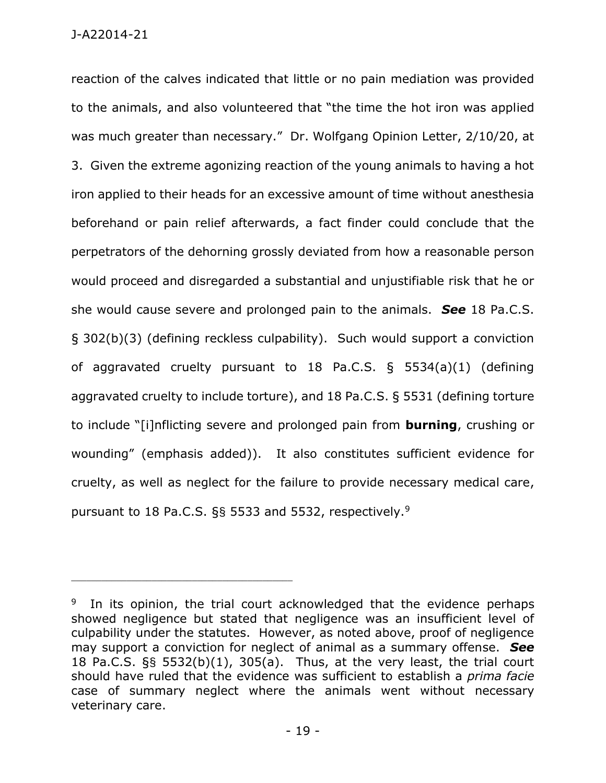reaction of the calves indicated that little or no pain mediation was provided to the animals, and also volunteered that "the time the hot iron was applied was much greater than necessary." Dr. Wolfgang Opinion Letter, 2/10/20, at 3. Given the extreme agonizing reaction of the young animals to having a hot iron applied to their heads for an excessive amount of time without anesthesia beforehand or pain relief afterwards, a fact finder could conclude that the perpetrators of the dehorning grossly deviated from how a reasonable person would proceed and disregarded a substantial and unjustifiable risk that he or she would cause severe and prolonged pain to the animals. *See* 18 Pa.C.S. § 302(b)(3) (defining reckless culpability). Such would support a conviction of aggravated cruelty pursuant to 18 Pa.C.S. § 5534(a)(1) (defining aggravated cruelty to include torture), and 18 Pa.C.S. § 5531 (defining torture to include "[i]nflicting severe and prolonged pain from **burning**, crushing or wounding" (emphasis added)). It also constitutes sufficient evidence for cruelty, as well as neglect for the failure to provide necessary medical care, pursuant to 18 Pa.C.S. §§ 5533 and 5532, respectively.<sup>9</sup>

<sup>9</sup> In its opinion, the trial court acknowledged that the evidence perhaps showed negligence but stated that negligence was an insufficient level of culpability under the statutes. However, as noted above, proof of negligence may support a conviction for neglect of animal as a summary offense. *See* 18 Pa.C.S. §§ 5532(b)(1), 305(a). Thus, at the very least, the trial court should have ruled that the evidence was sufficient to establish a *prima facie* case of summary neglect where the animals went without necessary veterinary care.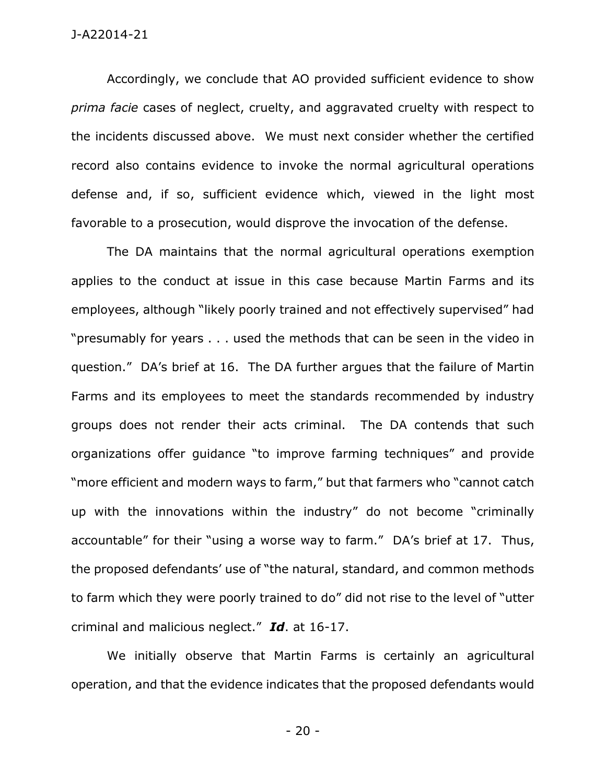Accordingly, we conclude that AO provided sufficient evidence to show *prima facie* cases of neglect, cruelty, and aggravated cruelty with respect to the incidents discussed above. We must next consider whether the certified record also contains evidence to invoke the normal agricultural operations defense and, if so, sufficient evidence which, viewed in the light most favorable to a prosecution, would disprove the invocation of the defense.

The DA maintains that the normal agricultural operations exemption applies to the conduct at issue in this case because Martin Farms and its employees, although "likely poorly trained and not effectively supervised" had "presumably for years . . . used the methods that can be seen in the video in question." DA's brief at 16. The DA further argues that the failure of Martin Farms and its employees to meet the standards recommended by industry groups does not render their acts criminal. The DA contends that such organizations offer guidance "to improve farming techniques" and provide "more efficient and modern ways to farm," but that farmers who "cannot catch up with the innovations within the industry" do not become "criminally accountable" for their "using a worse way to farm." DA's brief at 17. Thus, the proposed defendants' use of "the natural, standard, and common methods to farm which they were poorly trained to do" did not rise to the level of "utter criminal and malicious neglect." *Id*. at 16-17.

We initially observe that Martin Farms is certainly an agricultural operation, and that the evidence indicates that the proposed defendants would

- 20 -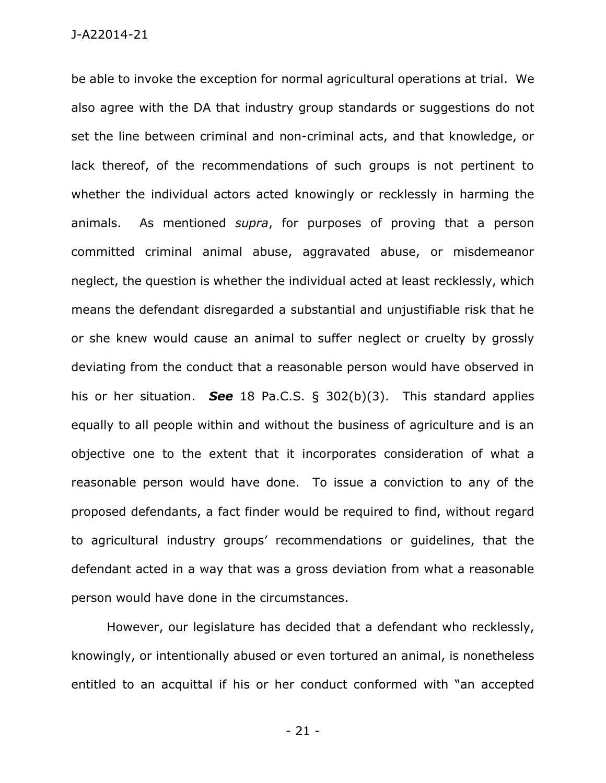be able to invoke the exception for normal agricultural operations at trial. We also agree with the DA that industry group standards or suggestions do not set the line between criminal and non-criminal acts, and that knowledge, or lack thereof, of the recommendations of such groups is not pertinent to whether the individual actors acted knowingly or recklessly in harming the animals. As mentioned *supra*, for purposes of proving that a person committed criminal animal abuse, aggravated abuse, or misdemeanor neglect, the question is whether the individual acted at least recklessly, which means the defendant disregarded a substantial and unjustifiable risk that he or she knew would cause an animal to suffer neglect or cruelty by grossly deviating from the conduct that a reasonable person would have observed in his or her situation. *See* 18 Pa.C.S. § 302(b)(3). This standard applies equally to all people within and without the business of agriculture and is an objective one to the extent that it incorporates consideration of what a reasonable person would have done. To issue a conviction to any of the proposed defendants, a fact finder would be required to find, without regard to agricultural industry groups' recommendations or guidelines, that the defendant acted in a way that was a gross deviation from what a reasonable person would have done in the circumstances.

However, our legislature has decided that a defendant who recklessly, knowingly, or intentionally abused or even tortured an animal, is nonetheless entitled to an acquittal if his or her conduct conformed with "an accepted

- 21 -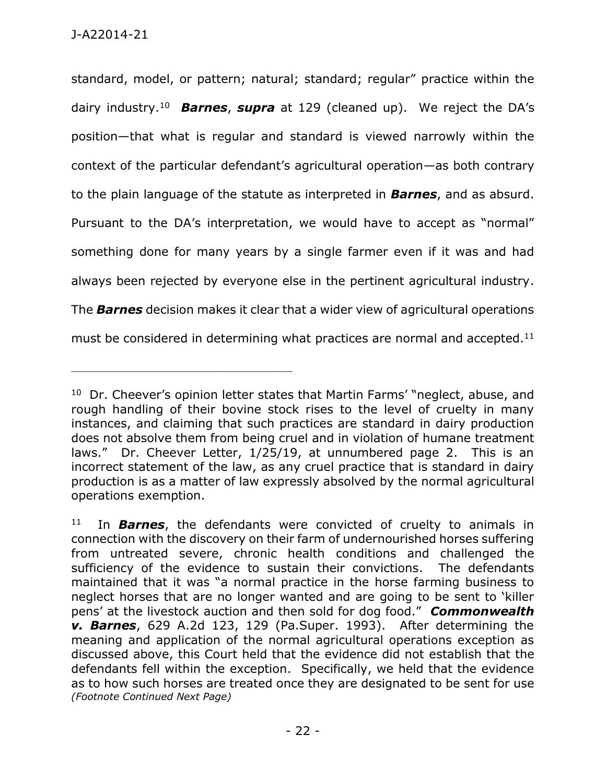standard, model, or pattern; natural; standard; regular" practice within the dairy industry.<sup>10</sup> *Barnes*, *supra* at 129 (cleaned up). We reject the DA's position—that what is regular and standard is viewed narrowly within the context of the particular defendant's agricultural operation—as both contrary to the plain language of the statute as interpreted in *Barnes*, and as absurd. Pursuant to the DA's interpretation, we would have to accept as "normal" something done for many years by a single farmer even if it was and had always been rejected by everyone else in the pertinent agricultural industry. The *Barnes* decision makes it clear that a wider view of agricultural operations must be considered in determining what practices are normal and accepted.<sup>11</sup>

<sup>&</sup>lt;sup>10</sup> Dr. Cheever's opinion letter states that Martin Farms' "neglect, abuse, and rough handling of their bovine stock rises to the level of cruelty in many instances, and claiming that such practices are standard in dairy production does not absolve them from being cruel and in violation of humane treatment laws." Dr. Cheever Letter, 1/25/19, at unnumbered page 2. This is an incorrect statement of the law, as any cruel practice that is standard in dairy production is as a matter of law expressly absolved by the normal agricultural operations exemption.

<sup>&</sup>lt;sup>11</sup> In **Barnes**, the defendants were convicted of cruelty to animals in connection with the discovery on their farm of undernourished horses suffering from untreated severe, chronic health conditions and challenged the sufficiency of the evidence to sustain their convictions. The defendants maintained that it was "a normal practice in the horse farming business to neglect horses that are no longer wanted and are going to be sent to 'killer pens' at the livestock auction and then sold for dog food." *Commonwealth v. Barnes*, 629 A.2d 123, 129 (Pa.Super. 1993). After determining the meaning and application of the normal agricultural operations exception as discussed above, this Court held that the evidence did not establish that the defendants fell within the exception. Specifically, we held that the evidence as to how such horses are treated once they are designated to be sent for use *(Footnote Continued Next Page)*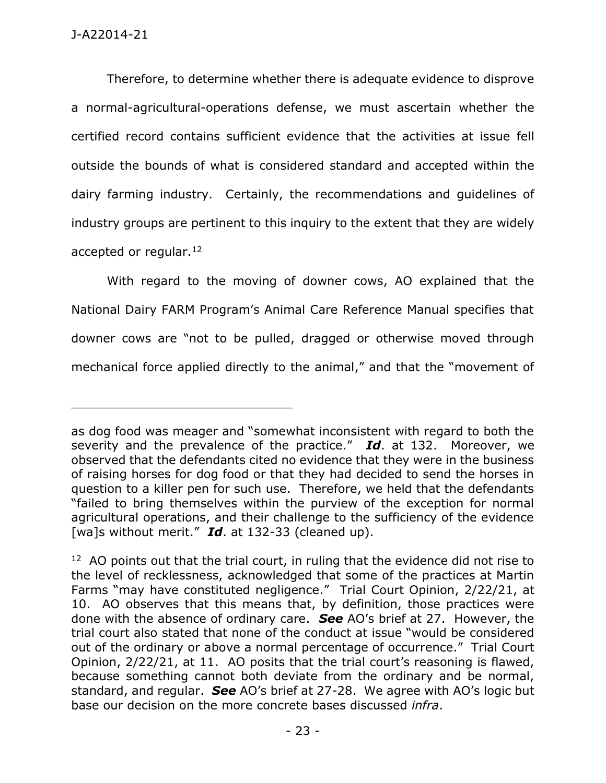Therefore, to determine whether there is adequate evidence to disprove a normal-agricultural-operations defense, we must ascertain whether the certified record contains sufficient evidence that the activities at issue fell outside the bounds of what is considered standard and accepted within the dairy farming industry. Certainly, the recommendations and guidelines of industry groups are pertinent to this inquiry to the extent that they are widely accepted or regular.<sup>12</sup>

With regard to the moving of downer cows, AO explained that the National Dairy FARM Program's Animal Care Reference Manual specifies that downer cows are "not to be pulled, dragged or otherwise moved through mechanical force applied directly to the animal," and that the "movement of

as dog food was meager and "somewhat inconsistent with regard to both the severity and the prevalence of the practice." *Id*. at 132. Moreover, we observed that the defendants cited no evidence that they were in the business of raising horses for dog food or that they had decided to send the horses in question to a killer pen for such use. Therefore, we held that the defendants "failed to bring themselves within the purview of the exception for normal agricultural operations, and their challenge to the sufficiency of the evidence [wa]s without merit." *Id*. at 132-33 (cleaned up).

 $12$  AO points out that the trial court, in ruling that the evidence did not rise to the level of recklessness, acknowledged that some of the practices at Martin Farms "may have constituted negligence." Trial Court Opinion, 2/22/21, at 10. AO observes that this means that, by definition, those practices were done with the absence of ordinary care. *See* AO's brief at 27. However, the trial court also stated that none of the conduct at issue "would be considered out of the ordinary or above a normal percentage of occurrence." Trial Court Opinion, 2/22/21, at 11. AO posits that the trial court's reasoning is flawed, because something cannot both deviate from the ordinary and be normal, standard, and regular. *See* AO's brief at 27-28. We agree with AO's logic but base our decision on the more concrete bases discussed *infra*.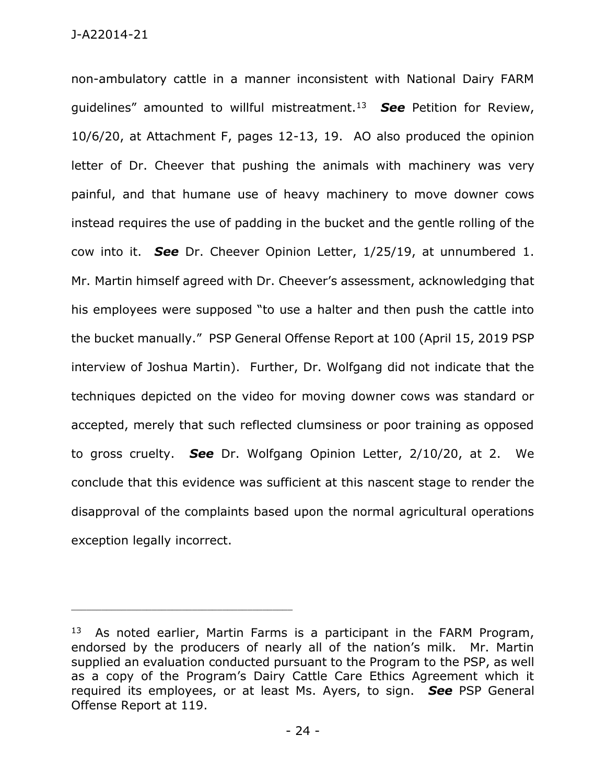non-ambulatory cattle in a manner inconsistent with National Dairy FARM guidelines" amounted to willful mistreatment.<sup>13</sup> *See* Petition for Review, 10/6/20, at Attachment F, pages 12-13, 19. AO also produced the opinion letter of Dr. Cheever that pushing the animals with machinery was very painful, and that humane use of heavy machinery to move downer cows instead requires the use of padding in the bucket and the gentle rolling of the cow into it. *See* Dr. Cheever Opinion Letter, 1/25/19, at unnumbered 1. Mr. Martin himself agreed with Dr. Cheever's assessment, acknowledging that his employees were supposed "to use a halter and then push the cattle into the bucket manually." PSP General Offense Report at 100 (April 15, 2019 PSP interview of Joshua Martin). Further, Dr. Wolfgang did not indicate that the techniques depicted on the video for moving downer cows was standard or accepted, merely that such reflected clumsiness or poor training as opposed to gross cruelty. *See* Dr. Wolfgang Opinion Letter, 2/10/20, at 2. We conclude that this evidence was sufficient at this nascent stage to render the disapproval of the complaints based upon the normal agricultural operations exception legally incorrect.

 $13$  As noted earlier, Martin Farms is a participant in the FARM Program, endorsed by the producers of nearly all of the nation's milk. Mr. Martin supplied an evaluation conducted pursuant to the Program to the PSP, as well as a copy of the Program's Dairy Cattle Care Ethics Agreement which it required its employees, or at least Ms. Ayers, to sign. *See* PSP General Offense Report at 119.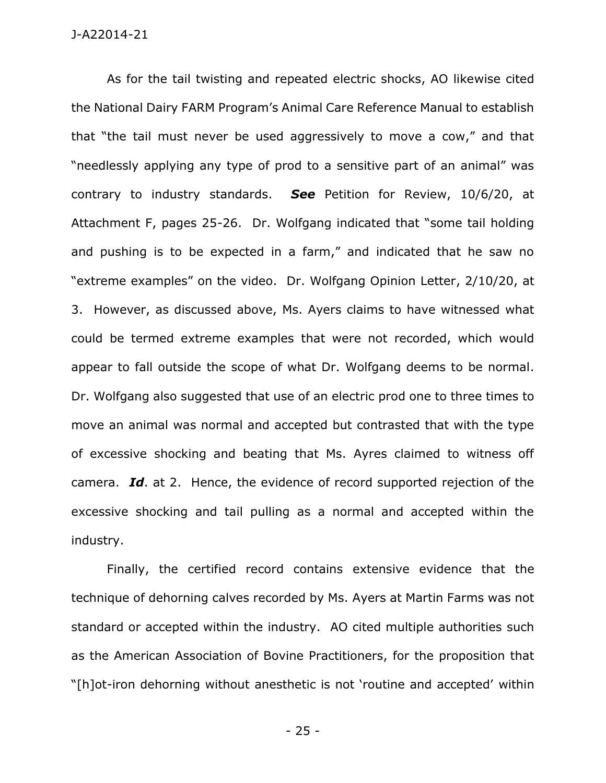As for the tail twisting and repeated electric shocks, AO likewise cited the National Dairy FARM Program's Animal Care Reference Manual to establish that "the tail must never be used aggressively to move a cow," and that "needlessly applying any type of prod to a sensitive part of an animal" was contrary to industry standards. *See* Petition for Review, 10/6/20, at Attachment F, pages 25-26. Dr. Wolfgang indicated that "some tail holding and pushing is to be expected in a farm," and indicated that he saw no "extreme examples" on the video. Dr. Wolfgang Opinion Letter, 2/10/20, at 3. However, as discussed above, Ms. Ayers claims to have witnessed what could be termed extreme examples that were not recorded, which would appear to fall outside the scope of what Dr. Wolfgang deems to be normal. Dr. Wolfgang also suggested that use of an electric prod one to three times to move an animal was normal and accepted but contrasted that with the type of excessive shocking and beating that Ms. Ayres claimed to witness off camera. *Id*. at 2. Hence, the evidence of record supported rejection of the excessive shocking and tail pulling as a normal and accepted within the industry.

Finally, the certified record contains extensive evidence that the technique of dehorning calves recorded by Ms. Ayers at Martin Farms was not standard or accepted within the industry. AO cited multiple authorities such as the American Association of Bovine Practitioners, for the proposition that "[h]ot-iron dehorning without anesthetic is not 'routine and accepted' within

- 25 -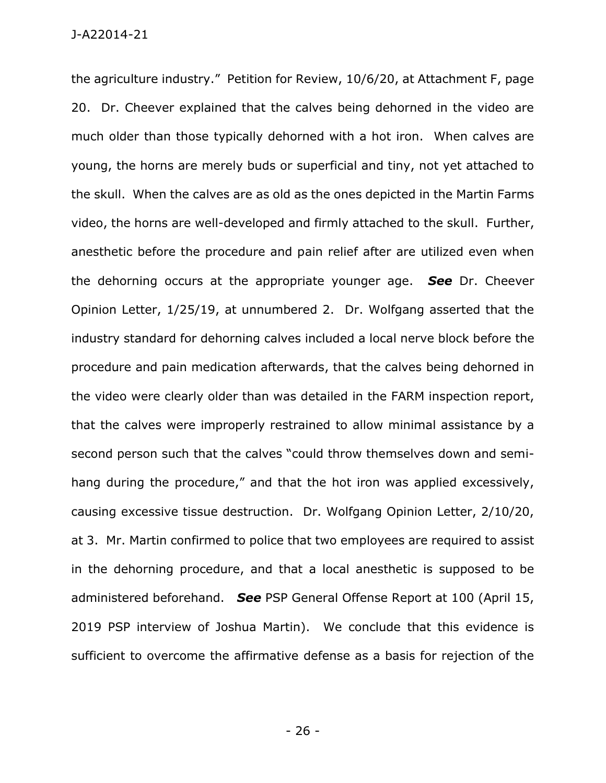the agriculture industry." Petition for Review, 10/6/20, at Attachment F, page 20. Dr. Cheever explained that the calves being dehorned in the video are much older than those typically dehorned with a hot iron. When calves are young, the horns are merely buds or superficial and tiny, not yet attached to the skull. When the calves are as old as the ones depicted in the Martin Farms video, the horns are well-developed and firmly attached to the skull. Further, anesthetic before the procedure and pain relief after are utilized even when the dehorning occurs at the appropriate younger age. *See* Dr. Cheever Opinion Letter, 1/25/19, at unnumbered 2. Dr. Wolfgang asserted that the industry standard for dehorning calves included a local nerve block before the procedure and pain medication afterwards, that the calves being dehorned in the video were clearly older than was detailed in the FARM inspection report, that the calves were improperly restrained to allow minimal assistance by a second person such that the calves "could throw themselves down and semihang during the procedure," and that the hot iron was applied excessively, causing excessive tissue destruction. Dr. Wolfgang Opinion Letter, 2/10/20, at 3. Mr. Martin confirmed to police that two employees are required to assist in the dehorning procedure, and that a local anesthetic is supposed to be administered beforehand. *See* PSP General Offense Report at 100 (April 15, 2019 PSP interview of Joshua Martin). We conclude that this evidence is sufficient to overcome the affirmative defense as a basis for rejection of the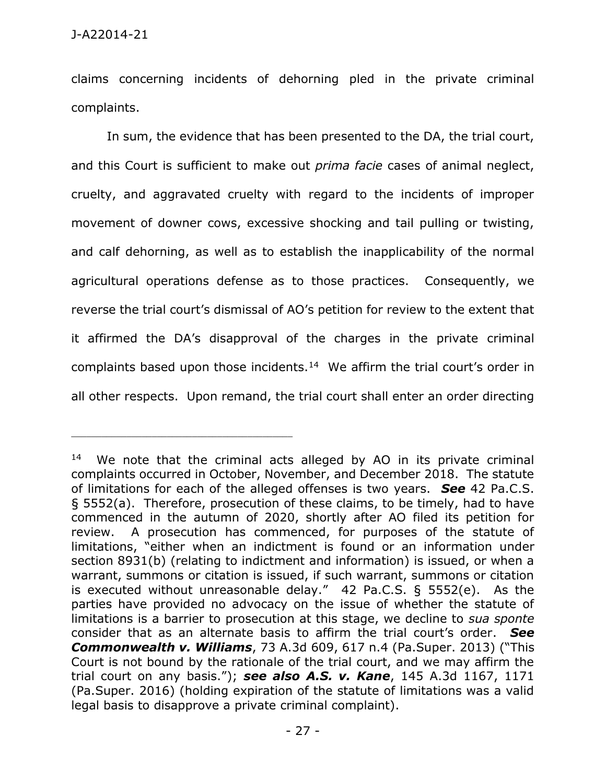claims concerning incidents of dehorning pled in the private criminal complaints.

In sum, the evidence that has been presented to the DA, the trial court, and this Court is sufficient to make out *prima facie* cases of animal neglect, cruelty, and aggravated cruelty with regard to the incidents of improper movement of downer cows, excessive shocking and tail pulling or twisting, and calf dehorning, as well as to establish the inapplicability of the normal agricultural operations defense as to those practices. Consequently, we reverse the trial court's dismissal of AO's petition for review to the extent that it affirmed the DA's disapproval of the charges in the private criminal complaints based upon those incidents.<sup>14</sup> We affirm the trial court's order in all other respects. Upon remand, the trial court shall enter an order directing

<sup>&</sup>lt;sup>14</sup> We note that the criminal acts alleged by AO in its private criminal complaints occurred in October, November, and December 2018. The statute of limitations for each of the alleged offenses is two years. *See* 42 Pa.C.S. § 5552(a). Therefore, prosecution of these claims, to be timely, had to have commenced in the autumn of 2020, shortly after AO filed its petition for review. A prosecution has commenced, for purposes of the statute of limitations, "either when an indictment is found or an information under section 8931(b) (relating to indictment and information) is issued, or when a warrant, summons or citation is issued, if such warrant, summons or citation is executed without unreasonable delay." 42 Pa.C.S. § 5552(e). As the parties have provided no advocacy on the issue of whether the statute of limitations is a barrier to prosecution at this stage, we decline to *sua sponte* consider that as an alternate basis to affirm the trial court's order. *See Commonwealth v. Williams*, 73 A.3d 609, 617 n.4 (Pa.Super. 2013) ("This Court is not bound by the rationale of the trial court, and we may affirm the trial court on any basis."); *see also A.S. v. Kane*, 145 A.3d 1167, 1171 (Pa.Super. 2016) (holding expiration of the statute of limitations was a valid legal basis to disapprove a private criminal complaint).